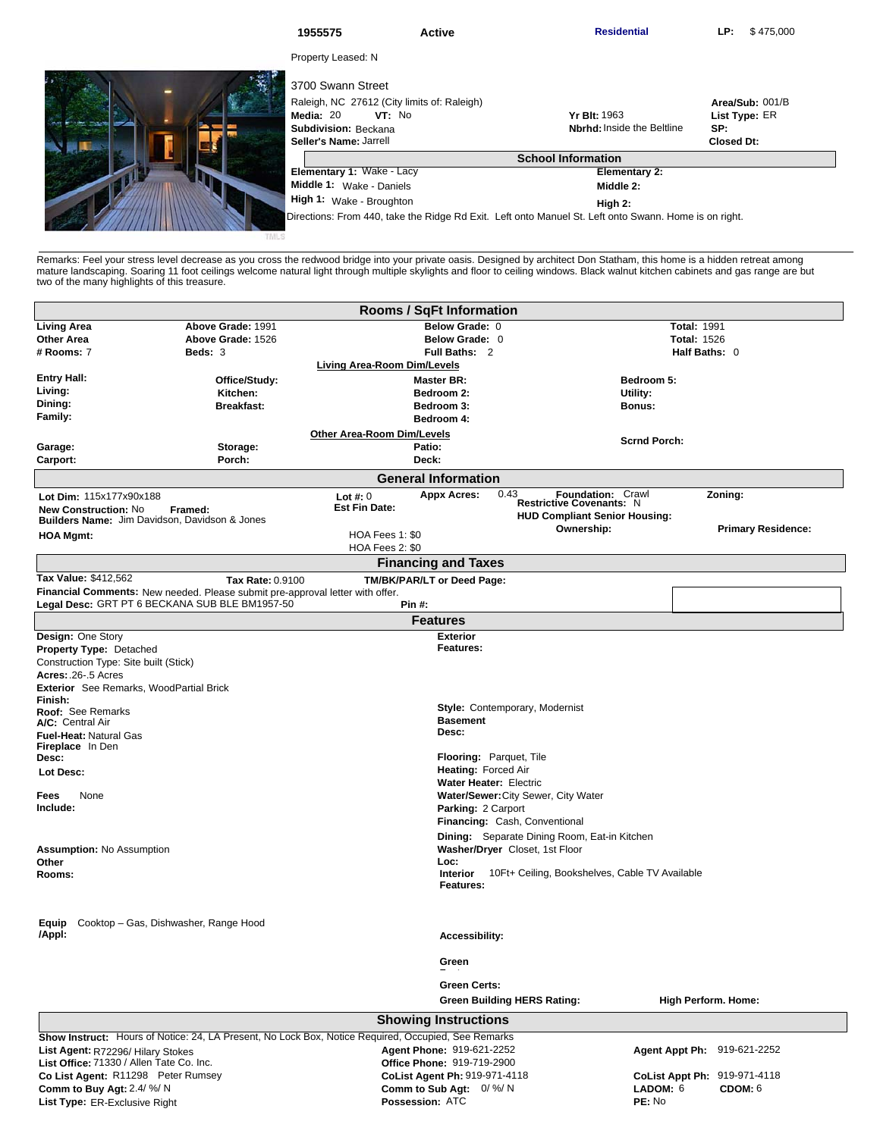|  | 1955575                                                                                                                                   | <b>Active</b>                                                                                         | <b>Residential</b>                                       | \$475,000<br>LP:                                             |  |
|--|-------------------------------------------------------------------------------------------------------------------------------------------|-------------------------------------------------------------------------------------------------------|----------------------------------------------------------|--------------------------------------------------------------|--|
|  | Property Leased: N                                                                                                                        |                                                                                                       |                                                          |                                                              |  |
|  | 3700 Swann Street<br>Raleigh, NC 27612 (City limits of: Raleigh)<br>Media: 20<br>VT: No<br>Subdivision: Beckana<br>Seller's Name: Jarrell |                                                                                                       | <b>Yr Blt: 1963</b><br><b>Nbrhd:</b> Inside the Beltline | Area/Sub: 001/B<br>List Type: ER<br>SP:<br><b>Closed Dt:</b> |  |
|  | <b>School Information</b>                                                                                                                 |                                                                                                       |                                                          |                                                              |  |
|  | Elementary 1: Wake - Lacy                                                                                                                 |                                                                                                       | <b>Elementary 2:</b>                                     |                                                              |  |
|  | Middle 1: Wake - Daniels                                                                                                                  |                                                                                                       | Middle 2:                                                |                                                              |  |
|  | High 1: Wake - Broughton                                                                                                                  |                                                                                                       | High 2:                                                  |                                                              |  |
|  |                                                                                                                                           | Directions: From 440, take the Ridge Rd Exit. Left onto Manuel St. Left onto Swann. Home is on right. |                                                          |                                                              |  |

Remarks: Feel your stress level decrease as you cross the redwood bridge into your private oasis. Designed by architect Don Statham, this home is a hidden retreat among<br>mature landscaping. Soaring 11 foot ceilings welcome

|                                                                               |                                                                                                                                 | Rooms / SqFt Information                                                                                                         |                                                                         |                              |
|-------------------------------------------------------------------------------|---------------------------------------------------------------------------------------------------------------------------------|----------------------------------------------------------------------------------------------------------------------------------|-------------------------------------------------------------------------|------------------------------|
| <b>Living Area</b>                                                            | Above Grade: 1991                                                                                                               | Below Grade: 0                                                                                                                   |                                                                         | <b>Total: 1991</b>           |
| <b>Other Area</b>                                                             | Above Grade: 1526                                                                                                               | Below Grade: 0                                                                                                                   |                                                                         | <b>Total: 1526</b>           |
| # Rooms: 7                                                                    | Beds: 3                                                                                                                         | Full Baths: 2                                                                                                                    |                                                                         | Half Baths: 0                |
|                                                                               |                                                                                                                                 | Living Area-Room Dim/Levels                                                                                                      |                                                                         |                              |
| <b>Entry Hall:</b>                                                            | Office/Study:                                                                                                                   | <b>Master BR:</b>                                                                                                                | Bedroom 5:                                                              |                              |
| Living:                                                                       | Kitchen:                                                                                                                        | Bedroom 2:                                                                                                                       | Utility:                                                                |                              |
| Dining:                                                                       | <b>Breakfast:</b>                                                                                                               | Bedroom 3:                                                                                                                       | Bonus:                                                                  |                              |
| <b>Family:</b>                                                                |                                                                                                                                 | Bedroom 4:                                                                                                                       |                                                                         |                              |
|                                                                               |                                                                                                                                 | <b>Other Area-Room Dim/Levels</b>                                                                                                | <b>Scrnd Porch:</b>                                                     |                              |
| Garage:                                                                       | Storage:                                                                                                                        | Patio:                                                                                                                           |                                                                         |                              |
| Carport:                                                                      | Porch:                                                                                                                          | Deck:                                                                                                                            |                                                                         |                              |
|                                                                               |                                                                                                                                 | <b>General Information</b>                                                                                                       |                                                                         |                              |
| Lot Dim: 115x177x90x188                                                       |                                                                                                                                 | <b>Appx Acres:</b><br>0.43<br>Lot $#: 0$                                                                                         | Foundation: Crawl                                                       | Zoning:                      |
| <b>New Construction: No</b>                                                   | Framed:                                                                                                                         | <b>Est Fin Date:</b>                                                                                                             | <b>Restrictive Covenants: N</b><br><b>HUD Compliant Senior Housing:</b> |                              |
|                                                                               | <b>Builders Name:</b> Jim Davidson, Davidson & Jones                                                                            |                                                                                                                                  | Ownership:                                                              | <b>Primary Residence:</b>    |
| <b>HOA Mgmt:</b>                                                              |                                                                                                                                 | HOA Fees 1: \$0                                                                                                                  |                                                                         |                              |
|                                                                               |                                                                                                                                 | HOA Fees 2: \$0                                                                                                                  |                                                                         |                              |
|                                                                               |                                                                                                                                 | <b>Financing and Taxes</b>                                                                                                       |                                                                         |                              |
| Tax Value: \$412,562                                                          | Tax Rate: 0.9100                                                                                                                | TM/BK/PAR/LT or Deed Page:                                                                                                       |                                                                         |                              |
|                                                                               | Financial Comments: New needed. Please submit pre-approval letter with offer.<br>Legal Desc: GRT PT 6 BECKANA SUB BLE BM1957-50 | <b>Pin #:</b>                                                                                                                    |                                                                         |                              |
|                                                                               |                                                                                                                                 | <b>Features</b>                                                                                                                  |                                                                         |                              |
| Design: One Story                                                             |                                                                                                                                 | <b>Exterior</b>                                                                                                                  |                                                                         |                              |
| <b>Property Type: Detached</b>                                                |                                                                                                                                 | Features:                                                                                                                        |                                                                         |                              |
| Construction Type: Site built (Stick)                                         |                                                                                                                                 |                                                                                                                                  |                                                                         |                              |
| Acres: .26-.5 Acres                                                           |                                                                                                                                 |                                                                                                                                  |                                                                         |                              |
| Exterior See Remarks, WoodPartial Brick                                       |                                                                                                                                 |                                                                                                                                  |                                                                         |                              |
| Finish:                                                                       |                                                                                                                                 | <b>Style:</b> Contemporary, Modernist                                                                                            |                                                                         |                              |
| Roof: See Remarks                                                             |                                                                                                                                 | <b>Basement</b>                                                                                                                  |                                                                         |                              |
| A/C: Central Air<br><b>Fuel-Heat: Natural Gas</b>                             |                                                                                                                                 | Desc:                                                                                                                            |                                                                         |                              |
| <b>Fireplace</b> In Den                                                       |                                                                                                                                 |                                                                                                                                  |                                                                         |                              |
| Desc:                                                                         |                                                                                                                                 | Flooring: Parquet, Tile                                                                                                          |                                                                         |                              |
| Lot Desc:                                                                     |                                                                                                                                 | Heating: Forced Air                                                                                                              |                                                                         |                              |
|                                                                               |                                                                                                                                 | <b>Water Heater: Electric</b>                                                                                                    |                                                                         |                              |
| None<br>Fees                                                                  |                                                                                                                                 | Water/Sewer: City Sewer, City Water                                                                                              |                                                                         |                              |
| Include:                                                                      |                                                                                                                                 | Parking: 2 Carport                                                                                                               |                                                                         |                              |
|                                                                               |                                                                                                                                 | <b>Financing: Cash, Conventional</b>                                                                                             |                                                                         |                              |
|                                                                               |                                                                                                                                 |                                                                                                                                  | Dining: Separate Dining Room, Eat-in Kitchen                            |                              |
| <b>Assumption: No Assumption</b>                                              |                                                                                                                                 | Washer/Dryer Closet, 1st Floor                                                                                                   |                                                                         |                              |
| Other                                                                         |                                                                                                                                 | Loc:                                                                                                                             |                                                                         |                              |
| Rooms:                                                                        |                                                                                                                                 | <b>Interior</b>                                                                                                                  | 10Ft+ Ceiling, Bookshelves, Cable TV Available                          |                              |
|                                                                               |                                                                                                                                 | Features:                                                                                                                        |                                                                         |                              |
|                                                                               |                                                                                                                                 |                                                                                                                                  |                                                                         |                              |
| Equip                                                                         | Cooktop – Gas, Dishwasher, Range Hood                                                                                           |                                                                                                                                  |                                                                         |                              |
| /Appl:                                                                        |                                                                                                                                 | <b>Accessibility:</b>                                                                                                            |                                                                         |                              |
|                                                                               |                                                                                                                                 | Green                                                                                                                            |                                                                         |                              |
|                                                                               |                                                                                                                                 | <b>Green Certs:</b>                                                                                                              |                                                                         |                              |
|                                                                               |                                                                                                                                 | <b>Green Building HERS Rating:</b>                                                                                               |                                                                         | <b>High Perform. Home:</b>   |
|                                                                               |                                                                                                                                 | <b>Showing Instructions</b>                                                                                                      |                                                                         |                              |
|                                                                               |                                                                                                                                 |                                                                                                                                  |                                                                         |                              |
|                                                                               |                                                                                                                                 | Show Instruct: Hours of Notice: 24, LA Present, No Lock Box, Notice Required, Occupied, See Remarks<br>Agent Phone: 919-621-2252 |                                                                         | Agent Appt Ph: 919-621-2252  |
| List Agent: R72296/ Hilary Stokes<br>List Office: 71330 / Allen Tate Co. Inc. |                                                                                                                                 | Office Phone: 919-719-2900                                                                                                       |                                                                         |                              |
| Co List Agent: R11298 Peter Rumsey                                            |                                                                                                                                 | CoList Agent Ph: 919-971-4118                                                                                                    |                                                                         | CoList Appt Ph: 919-971-4118 |
|                                                                               |                                                                                                                                 |                                                                                                                                  |                                                                         |                              |

**Comm to Sub Agt: Possession:** 2.4/ %/ N 0/ %/ N ATC

**Comm to Buy Agt: List Type:** ER-Exclusive Right

**LADOM:** 6 **PE:** No **CDOM:** 6